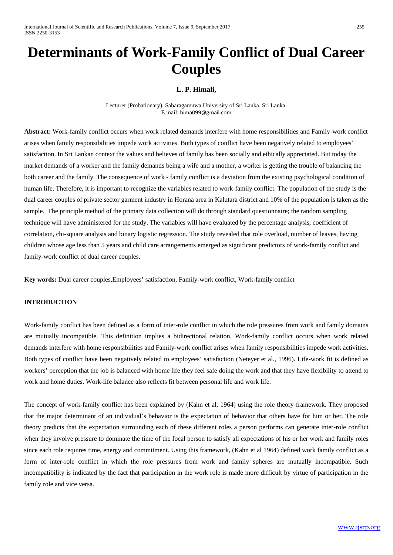# **Determinants of Work-Family Conflict of Dual Career Couples**

# **L. P. Himali,**

Lecturer (Probationary), Sabaragamuwa University of Sri Lanka, Sri Lanka. E mail: [hima099@gmail.com](mailto:hima099@gmail.com)

**Abstract:** Work-family conflict occurs when work related demands interfere with home responsibilities and Family-work conflict arises when family responsibilities impede work activities. Both types of conflict have been negatively related to employees' satisfaction. In Sri Lankan context the values and believes of family has been socially and ethically appreciated. But today the market demands of a worker and the family demands being a wife and a mother, a worker is getting the trouble of balancing the both career and the family. The consequence of work - family conflict is a deviation from the existing psychological condition of human life. Therefore, it is important to recognize the variables related to work-family conflict. The population of the study is the dual career couples of private sector garment industry in Horana area in Kalutara district and 10% of the population is taken as the sample. The principle method of the primary data collection will do through standard questionnaire; the random sampling technique will have administered for the study. The variables will have evaluated by the percentage analysis, coefficient of correlation, chi-square analysis and binary logistic regression. The study revealed that role overload, number of leaves, having children whose age less than 5 years and child care arrangements emerged as significant predictors of work-family conflict and family-work conflict of dual career couples.

**Key words:** Dual career couples,Employees' satisfaction, Family-work conflict, Work-family conflict

# **INTRODUCTION**

Work-family conflict has been defined as a form of inter-role conflict in which the role pressures from work and family domains are mutually incompatible. This definition implies a bidirectional relation. Work-family conflict occurs when work related demands interfere with home responsibilities and Family-work conflict arises when family responsibilities impede work activities. Both types of conflict have been negatively related to employees' satisfaction (Neteyer et al., 1996). Life-work fit is defined as workers' perception that the job is balanced with home life they feel safe doing the work and that they have flexibility to attend to work and home duties. Work-life balance also reflects fit between personal life and work life.

The concept of work-family conflict has been explained by (Kahn et al, 1964) using the role theory framework. They proposed that the major determinant of an individual's behavior is the expectation of behavior that others have for him or her. The role theory predicts that the expectation surrounding each of these different roles a person performs can generate inter-role conflict when they involve pressure to dominate the time of the focal person to satisfy all expectations of his or her work and family roles since each role requires time, energy and commitment. Using this framework, (Kahn et al 1964) defined work family conflict as a form of inter-role conflict in which the role pressures from work and family spheres are mutually incompatible. Such incompatibility is indicated by the fact that participation in the work role is made more difficult by virtue of participation in the family role and vice versa.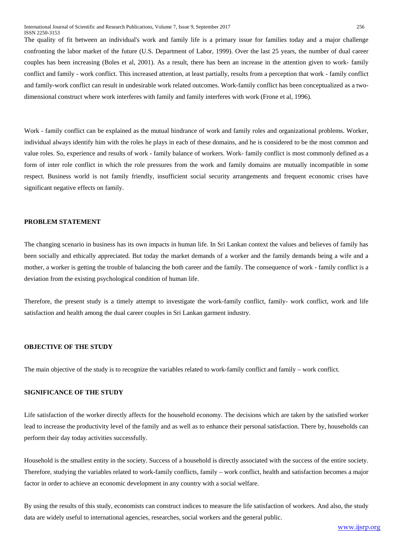The quality of fit between an individual's work and family life is a primary issue for families today and a major challenge confronting the labor market of the future (U.S. Department of Labor, 1999). Over the last 25 years, the number of dual career couples has been increasing (Boles et al, 2001). As a result, there has been an increase in the attention given to work- family conflict and family - work conflict. This increased attention, at least partially, results from a perception that work - family conflict and family-work conflict can result in undesirable work related outcomes. Work-family conflict has been conceptualized as a twodimensional construct where work interferes with family and family interferes with work (Frone et al, 1996).

Work - family conflict can be explained as the mutual hindrance of work and family roles and organizational problems. Worker, individual always identify him with the roles he plays in each of these domains, and he is considered to be the most common and value roles. So, experience and results of work - family balance of workers. Work- family conflict is most commonly defined as a form of inter role conflict in which the role pressures from the work and family domains are mutually incompatible in some respect. Business world is not family friendly, insufficient social security arrangements and frequent economic crises have significant negative effects on family.

#### **PROBLEM STATEMENT**

The changing scenario in business has its own impacts in human life. In Sri Lankan context the values and believes of family has been socially and ethically appreciated. But today the market demands of a worker and the family demands being a wife and a mother, a worker is getting the trouble of balancing the both career and the family. The consequence of work - family conflict is a deviation from the existing psychological condition of human life.

Therefore, the present study is a timely attempt to investigate the work-family conflict, family- work conflict, work and life satisfaction and health among the dual career couples in Sri Lankan garment industry.

# **OBJECTIVE OF THE STUDY**

The main objective of the study is to recognize the variables related to work-family conflict and family – work conflict.

# **SIGNIFICANCE OF THE STUDY**

Life satisfaction of the worker directly affects for the household economy. The decisions which are taken by the satisfied worker lead to increase the productivity level of the family and as well as to enhance their personal satisfaction. There by, households can perform their day today activities successfully.

Household is the smallest entity in the society. Success of a household is directly associated with the success of the entire society. Therefore, studying the variables related to work-family conflicts, family – work conflict, health and satisfaction becomes a major factor in order to achieve an economic development in any country with a social welfare.

By using the results of this study, economists can construct indices to measure the life satisfaction of workers. And also, the study data are widely useful to international agencies, researches, social workers and the general public.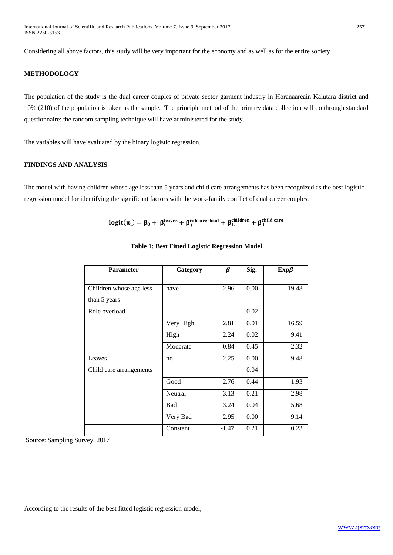Considering all above factors, this study will be very important for the economy and as well as for the entire society.

#### **METHODOLOGY**

The population of the study is the dual career couples of private sector garment industry in Horanaareain Kalutara district and 10% (210) of the population is taken as the sample. The principle method of the primary data collection will do through standard questionnaire; the random sampling technique will have administered for the study.

The variables will have evaluated by the binary logistic regression.

#### **FINDINGS AND ANALYSIS**

The model with having children whose age less than 5 years and child care arrangements has been recognized as the best logistic regression model for identifying the significant factors with the work-family conflict of dual career couples.

$$
logit(\pi_i) = \beta_0 + \ \beta_i^{leaves} + \beta_j^{role\ overload} + \beta_k^{children} + \beta_1^{child\ care}
$$

| <b>Parameter</b>        | Category  | $\beta$ | Sig. | $Exp\beta$ |
|-------------------------|-----------|---------|------|------------|
|                         |           |         |      |            |
| Children whose age less | have      | 2.96    | 0.00 | 19.48      |
| than 5 years            |           |         |      |            |
| Role overload           |           |         | 0.02 |            |
|                         | Very High | 2.81    | 0.01 | 16.59      |
|                         | High      | 2.24    | 0.02 | 9.41       |
|                         | Moderate  | 0.84    | 0.45 | 2.32       |
| Leaves                  | no        | 2.25    | 0.00 | 9.48       |
| Child care arrangements |           |         | 0.04 |            |
|                         | Good      | 2.76    | 0.44 | 1.93       |
|                         | Neutral   | 3.13    | 0.21 | 2.98       |
|                         | Bad       | 3.24    | 0.04 | 5.68       |
|                         | Very Bad  | 2.95    | 0.00 | 9.14       |
|                         | Constant  | $-1.47$ | 0.21 | 0.23       |

## **Table 1: Best Fitted Logistic Regression Model**

Source: Sampling Survey, 2017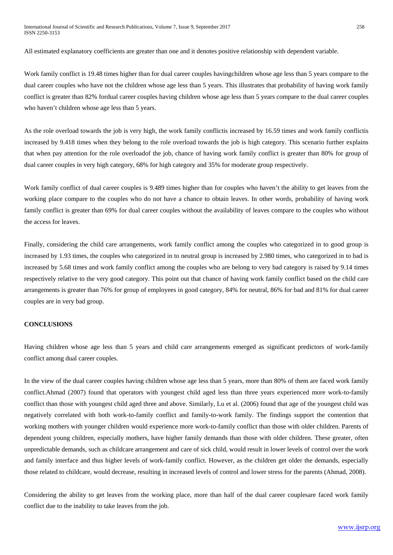All estimated explanatory coefficients are greater than one and it denotes positive relationship with dependent variable.

Work family conflict is 19.48 times higher than for dual career couples havingchildren whose age less than 5 years compare to the dual career couples who have not the children whose age less than 5 years. This illustrates that probability of having work family conflict is greater than 82% fordual career couples having children whose age less than 5 years compare to the dual career couples who haven't children whose age less than 5 years.

As the role overload towards the job is very high, the work family conflictis increased by 16.59 times and work family conflictis increased by 9.418 times when they belong to the role overload towards the job is high category. This scenario further explains that when pay attention for the role overloadof the job, chance of having work family conflict is greater than 80% for group of dual career couples in very high category, 68% for high category and 35% for moderate group respectively.

Work family conflict of dual career couples is 9.489 times higher than for couples who haven't the ability to get leaves from the working place compare to the couples who do not have a chance to obtain leaves. In other words, probability of having work family conflict is greater than 69% for dual career couples without the availability of leaves compare to the couples who without the access for leaves.

Finally, considering the child care arrangements, work family conflict among the couples who categorized in to good group is increased by 1.93 times, the couples who categorized in to neutral group is increased by 2.980 times, who categorized in to bad is increased by 5.68 times and work family conflict among the couples who are belong to very bad category is raised by 9.14 times respectively relative to the very good category. This point out that chance of having work family conflict based on the child care arrangements is greater than 76% for group of employees in good category, 84% for neutral, 86% for bad and 81% for dual career couples are in very bad group.

#### **CONCLUSIONS**

Having children whose age less than 5 years and child care arrangements emerged as significant predictors of work-family conflict among dual career couples.

In the view of the dual career couples having children whose age less than 5 years, more than 80% of them are faced work family conflict.Ahmad (2007) found that operators with youngest child aged less than three years experienced more work-to-family conflict than those with youngest child aged three and above. Similarly, Lu et al. (2006) found that age of the youngest child was negatively correlated with both work-to-family conflict and family-to-work family. The findings support the contention that working mothers with younger children would experience more work-to-family conflict than those with older children. Parents of dependent young children, especially mothers, have higher family demands than those with older children. These greater, often unpredictable demands, such as childcare arrangement and care of sick child, would result in lower levels of control over the work and family interface and thus higher levels of work-family conflict. However, as the children get older the demands, especially those related to childcare, would decrease, resulting in increased levels of control and lower stress for the parents (Ahmad, 2008).

Considering the ability to get leaves from the working place, more than half of the dual career couplesare faced work family conflict due to the inability to take leaves from the job.